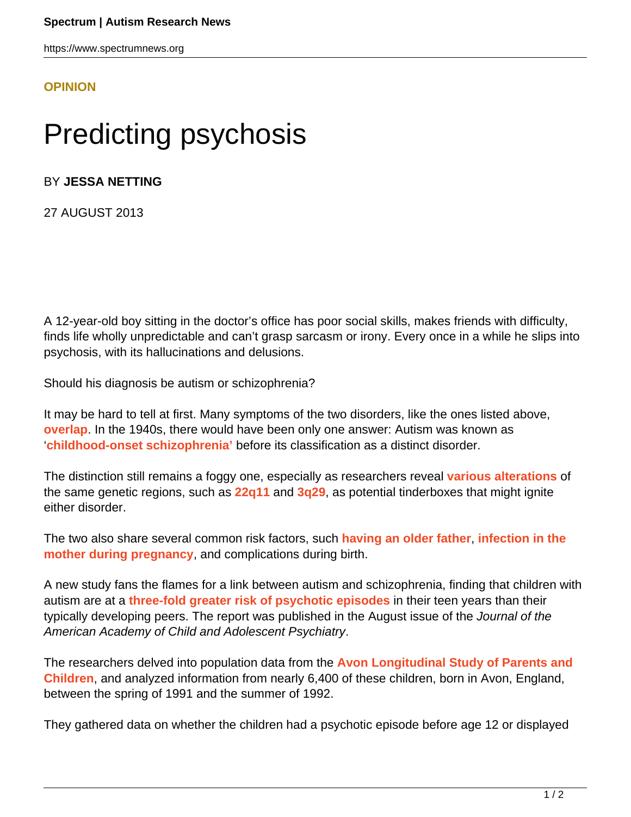https://www.spectrumnews.org

## **[OPINION](HTTPS://WWW.SPECTRUMNEWS.ORG/OPINION/)**

## Predicting psychosis

## BY **JESSA NETTING**

27 AUGUST 2013

A 12-year-old boy sitting in the doctor's office has poor social skills, makes friends with difficulty, finds life wholly unpredictable and can't grasp sarcasm or irony. Every once in a while he slips into psychosis, with its hallucinations and delusions.

Should his diagnosis be autism or schizophrenia?

It may be hard to tell at first. Many symptoms of the two disorders, like the ones listed above, **[overlap](https://www.spectrumnews.org/news/2008/autism-and-schizophrenia-a-tale-of-two-disorders)**. In the 1940s, there would have been only one answer: Autism was known as '**[childhood-onset schizophrenia'](https://www.spectrumnews.org/conference-news/2013/salk-institute-fondation-ipsen-nature-symposium-2013/childhood-onset-schizophrenia-autism-share-genetic-links)** before its classification as a distinct disorder.

The distinction still remains a foggy one, especially as researchers reveal **[various alterations](https://www.spectrumnews.org/blog/2008/cumulative-effects)** of the same genetic regions, such as **[22q11](https://www.spectrumnews.org/viewpoint/2013/dosage-effects-of-22q11-chromosomal-region)** and **[3q29](https://www.spectrumnews.org/in-brief/2013/genetics-rare-mutation-linked-to-autism-psychosis)**, as potential tinderboxes that might ignite either disorder.

The two also share several common risk factors, such **[having an older father](https://www.spectrumnews.org/news/2008/fathers-advanced-age-feeds-autism-risk)**, **[infection in the](https://www.spectrumnews.org/news/2012/flu-during-pregnancy-raises-childs-risk-of-autism) [mother during pregnancy](https://www.spectrumnews.org/news/2012/flu-during-pregnancy-raises-childs-risk-of-autism)**, and complications during birth.

A new study fans the flames for a link between autism and schizophrenia, finding that children with autism are at a **[three-fold greater risk of psychotic episodes](http://www.ncbi.nlm.nih.gov/pubmed/23880491)** in their teen years than their typically developing peers. The report was published in the August issue of the Journal of the American Academy of Child and Adolescent Psychiatry.

The researchers delved into population data from the **[Avon Longitudinal Study of Parents and](http://www.bristol.ac.uk/alspac/) [Children](http://www.bristol.ac.uk/alspac/)**, and analyzed information from nearly 6,400 of these children, born in Avon, England, between the spring of 1991 and the summer of 1992.

They gathered data on whether the children had a psychotic episode before age 12 or displayed